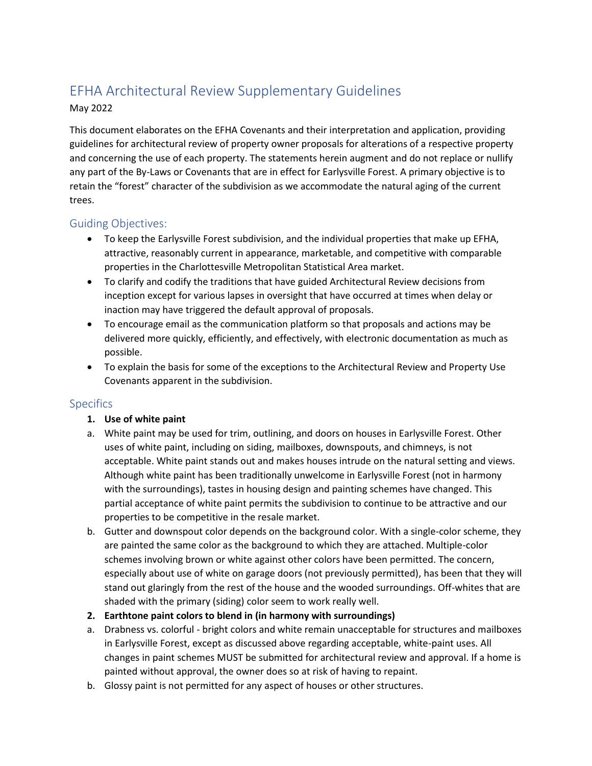# EFHA Architectural Review Supplementary Guidelines

#### May 2022

This document elaborates on the EFHA Covenants and their interpretation and application, providing guidelines for architectural review of property owner proposals for alterations of a respective property and concerning the use of each property. The statements herein augment and do not replace or nullify any part of the By-Laws or Covenants that are in effect for Earlysville Forest. A primary objective is to retain the "forest" character of the subdivision as we accommodate the natural aging of the current trees.

## Guiding Objectives:

- To keep the Earlysville Forest subdivision, and the individual properties that make up EFHA, attractive, reasonably current in appearance, marketable, and competitive with comparable properties in the Charlottesville Metropolitan Statistical Area market.
- To clarify and codify the traditions that have guided Architectural Review decisions from inception except for various lapses in oversight that have occurred at times when delay or inaction may have triggered the default approval of proposals.
- To encourage email as the communication platform so that proposals and actions may be delivered more quickly, efficiently, and effectively, with electronic documentation as much as possible.
- To explain the basis for some of the exceptions to the Architectural Review and Property Use Covenants apparent in the subdivision.

## **Specifics**

## **1. Use of white paint**

- a. White paint may be used for trim, outlining, and doors on houses in Earlysville Forest. Other uses of white paint, including on siding, mailboxes, downspouts, and chimneys, is not acceptable. White paint stands out and makes houses intrude on the natural setting and views. Although white paint has been traditionally unwelcome in Earlysville Forest (not in harmony with the surroundings), tastes in housing design and painting schemes have changed. This partial acceptance of white paint permits the subdivision to continue to be attractive and our properties to be competitive in the resale market.
- b. Gutter and downspout color depends on the background color. With a single-color scheme, they are painted the same color as the background to which they are attached. Multiple-color schemes involving brown or white against other colors have been permitted. The concern, especially about use of white on garage doors (not previously permitted), has been that they will stand out glaringly from the rest of the house and the wooded surroundings. Off-whites that are shaded with the primary (siding) color seem to work really well.
- **2. Earthtone paint colors to blend in (in harmony with surroundings)**
- a. Drabness vs. colorful bright colors and white remain unacceptable for structures and mailboxes in Earlysville Forest, except as discussed above regarding acceptable, white-paint uses. All changes in paint schemes MUST be submitted for architectural review and approval. If a home is painted without approval, the owner does so at risk of having to repaint.
- b. Glossy paint is not permitted for any aspect of houses or other structures.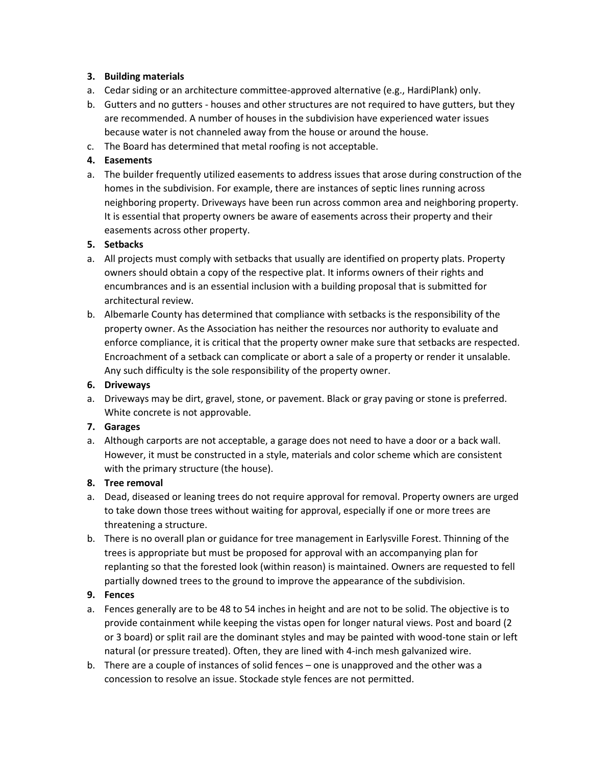#### **3. Building materials**

- a. Cedar siding or an architecture committee-approved alternative (e.g., HardiPlank) only.
- b. Gutters and no gutters houses and other structures are not required to have gutters, but they are recommended. A number of houses in the subdivision have experienced water issues because water is not channeled away from the house or around the house.
- c. The Board has determined that metal roofing is not acceptable.

#### **4. Easements**

a. The builder frequently utilized easements to address issues that arose during construction of the homes in the subdivision. For example, there are instances of septic lines running across neighboring property. Driveways have been run across common area and neighboring property. It is essential that property owners be aware of easements across their property and their easements across other property.

#### **5. Setbacks**

- a. All projects must comply with setbacks that usually are identified on property plats. Property owners should obtain a copy of the respective plat. It informs owners of their rights and encumbrances and is an essential inclusion with a building proposal that is submitted for architectural review.
- b. Albemarle County has determined that compliance with setbacks is the responsibility of the property owner. As the Association has neither the resources nor authority to evaluate and enforce compliance, it is critical that the property owner make sure that setbacks are respected. Encroachment of a setback can complicate or abort a sale of a property or render it unsalable. Any such difficulty is the sole responsibility of the property owner.

#### **6. Driveways**

a. Driveways may be dirt, gravel, stone, or pavement. Black or gray paving or stone is preferred. White concrete is not approvable.

#### **7. Garages**

a. Although carports are not acceptable, a garage does not need to have a door or a back wall. However, it must be constructed in a style, materials and color scheme which are consistent with the primary structure (the house).

#### **8. Tree removal**

- a. Dead, diseased or leaning trees do not require approval for removal. Property owners are urged to take down those trees without waiting for approval, especially if one or more trees are threatening a structure.
- b. There is no overall plan or guidance for tree management in Earlysville Forest. Thinning of the trees is appropriate but must be proposed for approval with an accompanying plan for replanting so that the forested look (within reason) is maintained. Owners are requested to fell partially downed trees to the ground to improve the appearance of the subdivision.

## **9. Fences**

- a. Fences generally are to be 48 to 54 inches in height and are not to be solid. The objective is to provide containment while keeping the vistas open for longer natural views. Post and board (2 or 3 board) or split rail are the dominant styles and may be painted with wood-tone stain or left natural (or pressure treated). Often, they are lined with 4-inch mesh galvanized wire.
- b. There are a couple of instances of solid fences one is unapproved and the other was a concession to resolve an issue. Stockade style fences are not permitted.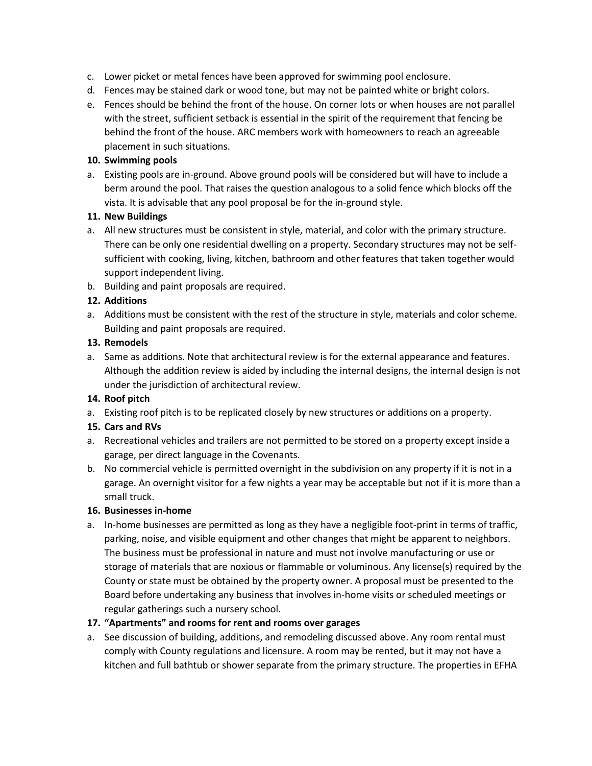- c. Lower picket or metal fences have been approved for swimming pool enclosure.
- d. Fences may be stained dark or wood tone, but may not be painted white or bright colors.
- e. Fences should be behind the front of the house. On corner lots or when houses are not parallel with the street, sufficient setback is essential in the spirit of the requirement that fencing be behind the front of the house. ARC members work with homeowners to reach an agreeable placement in such situations.

#### **10. Swimming pools**

a. Existing pools are in-ground. Above ground pools will be considered but will have to include a berm around the pool. That raises the question analogous to a solid fence which blocks off the vista. It is advisable that any pool proposal be for the in-ground style.

#### **11. New Buildings**

- a. All new structures must be consistent in style, material, and color with the primary structure. There can be only one residential dwelling on a property. Secondary structures may not be selfsufficient with cooking, living, kitchen, bathroom and other features that taken together would support independent living.
- b. Building and paint proposals are required.

## **12. Additions**

a. Additions must be consistent with the rest of the structure in style, materials and color scheme. Building and paint proposals are required.

#### **13. Remodels**

a. Same as additions. Note that architectural review is for the external appearance and features. Although the addition review is aided by including the internal designs, the internal design is not under the jurisdiction of architectural review.

## **14. Roof pitch**

a. Existing roof pitch is to be replicated closely by new structures or additions on a property.

#### **15. Cars and RVs**

- a. Recreational vehicles and trailers are not permitted to be stored on a property except inside a garage, per direct language in the Covenants.
- b. No commercial vehicle is permitted overnight in the subdivision on any property if it is not in a garage. An overnight visitor for a few nights a year may be acceptable but not if it is more than a small truck.

#### **16. Businesses in-home**

a. In-home businesses are permitted as long as they have a negligible foot-print in terms of traffic, parking, noise, and visible equipment and other changes that might be apparent to neighbors. The business must be professional in nature and must not involve manufacturing or use or storage of materials that are noxious or flammable or voluminous. Any license(s) required by the County or state must be obtained by the property owner. A proposal must be presented to the Board before undertaking any business that involves in-home visits or scheduled meetings or regular gatherings such a nursery school.

## **17. "Apartments" and rooms for rent and rooms over garages**

a. See discussion of building, additions, and remodeling discussed above. Any room rental must comply with County regulations and licensure. A room may be rented, but it may not have a kitchen and full bathtub or shower separate from the primary structure. The properties in EFHA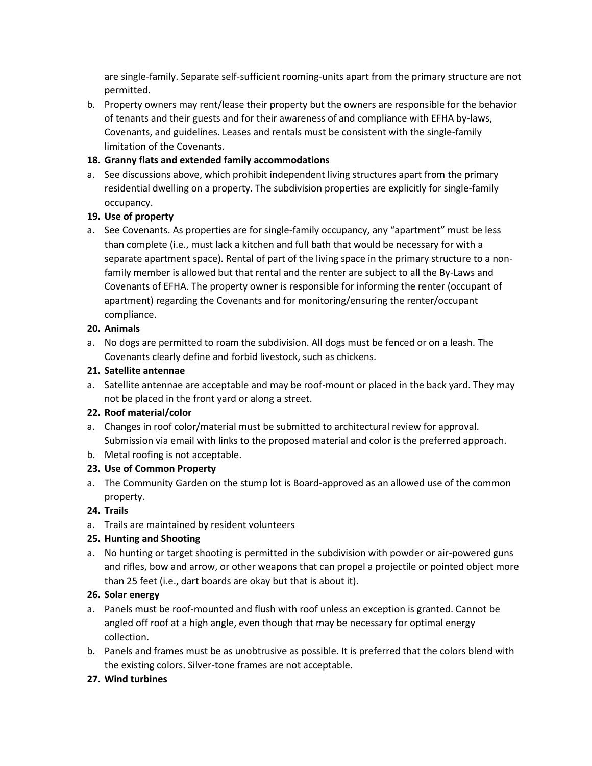are single-family. Separate self-sufficient rooming-units apart from the primary structure are not permitted.

b. Property owners may rent/lease their property but the owners are responsible for the behavior of tenants and their guests and for their awareness of and compliance with EFHA by-laws, Covenants, and guidelines. Leases and rentals must be consistent with the single-family limitation of the Covenants.

## **18. Granny flats and extended family accommodations**

a. See discussions above, which prohibit independent living structures apart from the primary residential dwelling on a property. The subdivision properties are explicitly for single-family occupancy.

## **19. Use of property**

a. See Covenants. As properties are for single-family occupancy, any "apartment" must be less than complete (i.e., must lack a kitchen and full bath that would be necessary for with a separate apartment space). Rental of part of the living space in the primary structure to a nonfamily member is allowed but that rental and the renter are subject to all the By-Laws and Covenants of EFHA. The property owner is responsible for informing the renter (occupant of apartment) regarding the Covenants and for monitoring/ensuring the renter/occupant compliance.

## **20. Animals**

a. No dogs are permitted to roam the subdivision. All dogs must be fenced or on a leash. The Covenants clearly define and forbid livestock, such as chickens.

## **21. Satellite antennae**

a. Satellite antennae are acceptable and may be roof-mount or placed in the back yard. They may not be placed in the front yard or along a street.

# **22. Roof material/color**

- a. Changes in roof color/material must be submitted to architectural review for approval. Submission via email with links to the proposed material and color is the preferred approach.
- b. Metal roofing is not acceptable.

# **23. Use of Common Property**

a. The Community Garden on the stump lot is Board-approved as an allowed use of the common property.

# **24. Trails**

a. Trails are maintained by resident volunteers

# **25. Hunting and Shooting**

a. No hunting or target shooting is permitted in the subdivision with powder or air-powered guns and rifles, bow and arrow, or other weapons that can propel a projectile or pointed object more than 25 feet (i.e., dart boards are okay but that is about it).

# **26. Solar energy**

- a. Panels must be roof-mounted and flush with roof unless an exception is granted. Cannot be angled off roof at a high angle, even though that may be necessary for optimal energy collection.
- b. Panels and frames must be as unobtrusive as possible. It is preferred that the colors blend with the existing colors. Silver-tone frames are not acceptable.

# **27. Wind turbines**